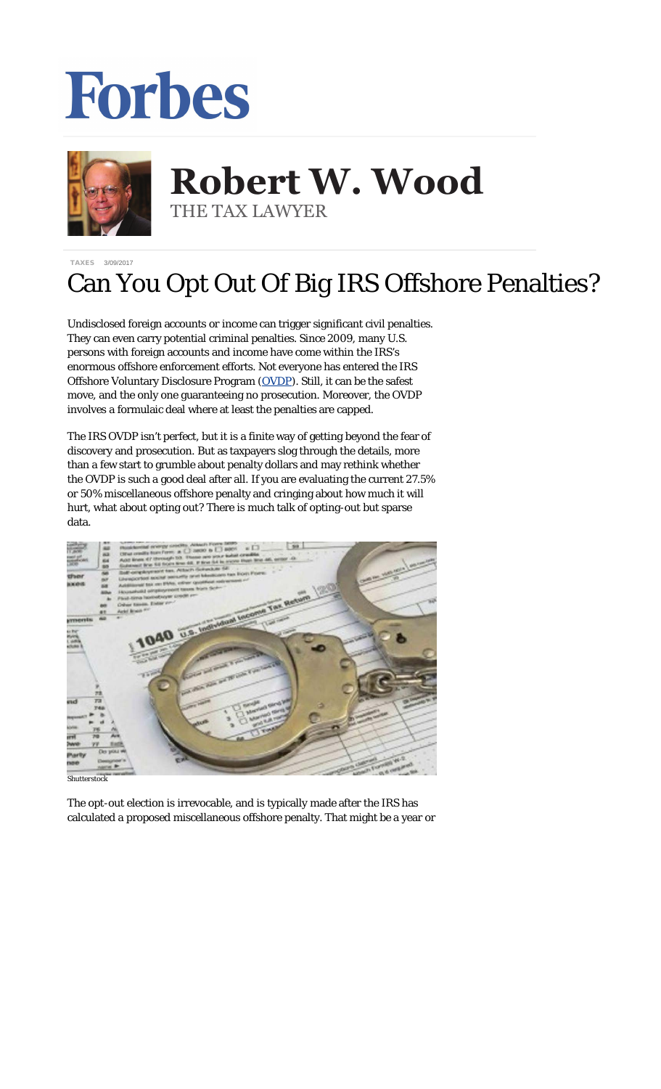## Forbes



## **Robert W. Wood Robert W. Wood** THE TAX LAWYER THE TAX LAWYER

[TAXES](https://www.forbes.com/taxes) 3/09/2017

## Can You Opt Out Of Big IRS Offshore Penalties?

Undisclosed foreign accounts or income can trigger significant civil penalties. They can even carry potential criminal penalties. Since 2009, many U.S. persons with foreign accounts and income have come within the IRS's enormous offshore enforcement efforts. Not everyone has entered the IRS Offshore Voluntary Disclosure Program [\(OVDP](https://www.irs.gov/uac/2012-offshore-voluntary-disclosure-program)). Still, it can be the safest move, and the only one guaranteeing no prosecution. Moreover, the OVDP involves a formulaic deal where at least the penalties are capped.

The IRS OVDP isn't perfect, but it is a finite way of getting beyond the fear of discovery and prosecution. But as taxpayers slog through the details, more than a few start to grumble about penalty dollars and may rethink whether the OVDP is such a good deal after all. If you are evaluating the current 27.5% or 50% miscellaneous offshore penalty and cringing about how much it will hurt, what about opting out? There is much talk of opting-out but sparse data.



*Shutterstock*

The opt-out election is irrevocable, and is typically made after the IRS has calculated a proposed miscellaneous offshore penalty. That might be a year or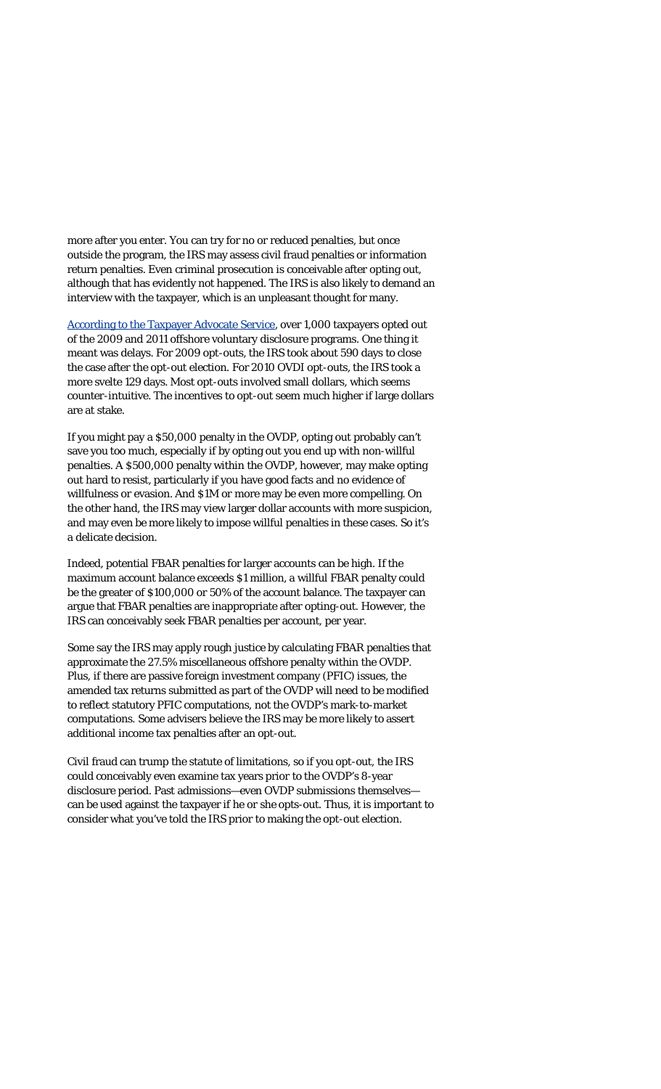more after you enter. You can try for no or reduced penalties, but once outside the program, the IRS may assess civil fraud penalties or information return penalties. Even criminal prosecution is conceivable after opting out, although that has evidently not happened. The IRS is also likely to demand an interview with the taxpayer, which is an unpleasant thought for many.

[According to the Taxpayer Advocate Service](http://www.taxpayeradvocate.irs.gov/2013-annual-report/downloads/OFFSHORE-VOLUNTARY-DISCLOSURE-The-IRS-Offshore-Voluntary-Disclosure-Program.pdf), over 1,000 taxpayers opted out of the 2009 and 2011 offshore voluntary disclosure programs. One thing it meant was delays. For 2009 opt-outs, the IRS took about 590 days to close the case after the opt-out election. For 2010 OVDI opt-outs, the IRS took a more svelte 129 days. Most opt-outs involved small dollars, which seems counter-intuitive. The incentives to opt-out seem much higher if large dollars are at stake.

If you might pay a \$50,000 penalty in the OVDP, opting out probably can't save you too much, especially if by opting out you end up with non-willful penalties. A \$500,000 penalty within the OVDP, however, may make opting out hard to resist, particularly if you have good facts and no evidence of willfulness or evasion. And \$1M or more may be even more compelling. On the other hand, the IRS may view larger dollar accounts with more suspicion, and may even be more likely to impose willful penalties in these cases. So it's a delicate decision.

Indeed, potential FBAR penalties for larger accounts can be high. If the maximum account balance exceeds \$1 million, a willful FBAR penalty could be the greater of \$100,000 or 50% of the account balance. The taxpayer can argue that FBAR penalties are inappropriate after opting-out. However, the IRS can conceivably seek FBAR penalties per account, per year.

Some say the IRS may apply rough justice by calculating FBAR penalties that approximate the 27.5% miscellaneous offshore penalty within the OVDP. Plus, if there are passive foreign investment company (PFIC) issues, the amended tax returns submitted as part of the OVDP will need to be modified to reflect statutory PFIC computations, not the OVDP's mark-to-market computations. Some advisers believe the IRS may be more likely to assert additional income tax penalties after an opt-out.

Civil fraud can trump the statute of limitations, so if you opt-out, the IRS could conceivably even examine tax years prior to the OVDP's 8-year disclosure period. Past admissions—even OVDP submissions themselves can be used against the taxpayer if he or she opts-out. Thus, it is important to consider what you've told the IRS prior to making the opt-out election.